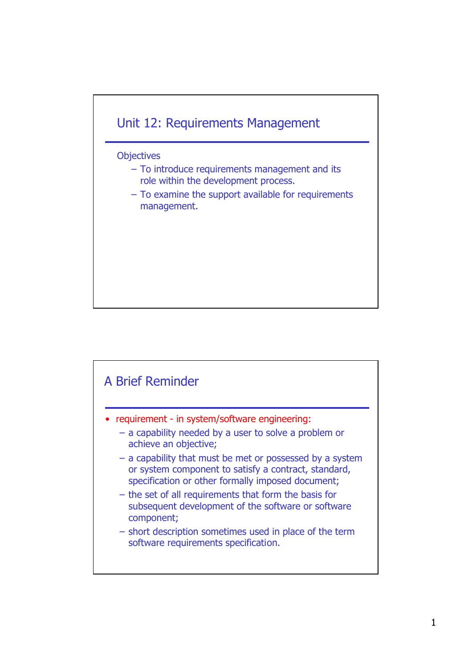

## **Objectives**

- To introduce requirements management and its role within the development process.
- To examine the support available for requirements management.

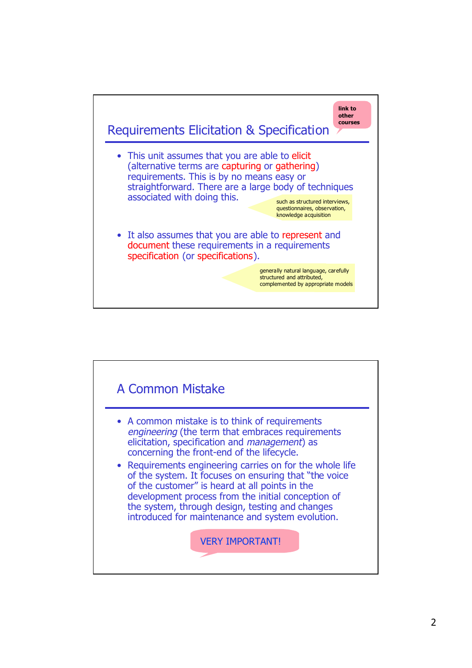

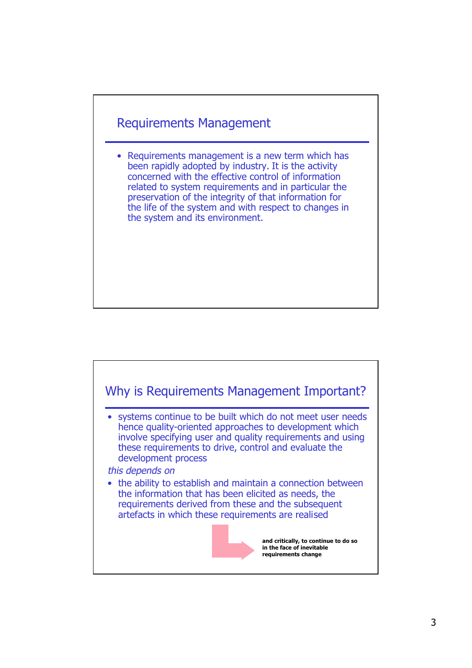

• Requirements management is a new term which has been rapidly adopted by industry. It is the activity concerned with the effective control of information related to system requirements and in particular the preservation of the integrity of that information for the life of the system and with respect to changes in the system and its environment.

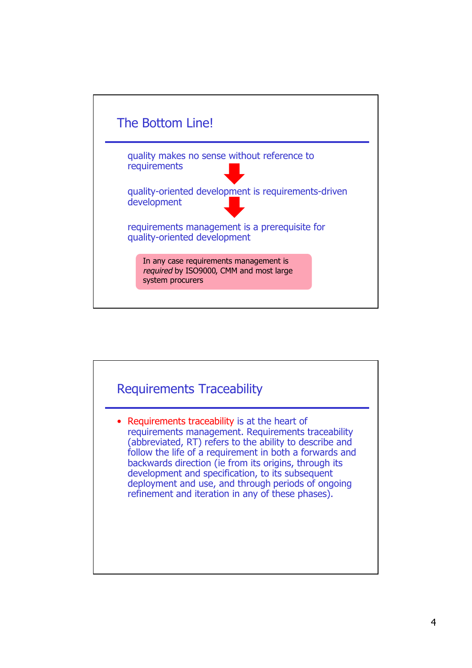

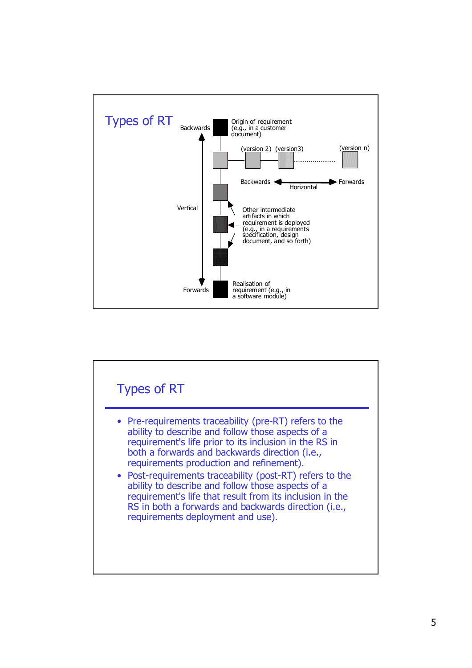

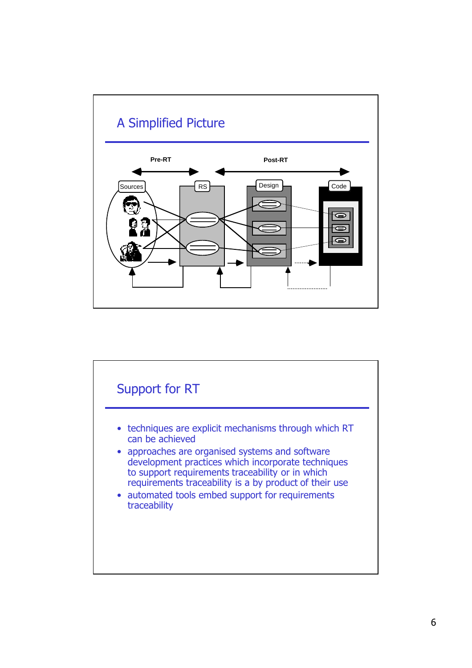

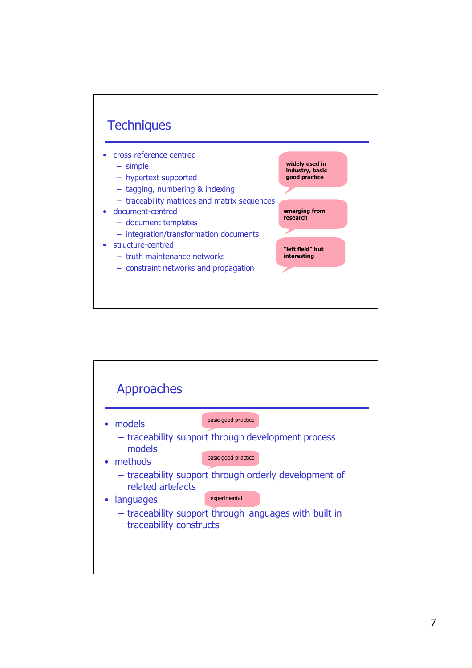

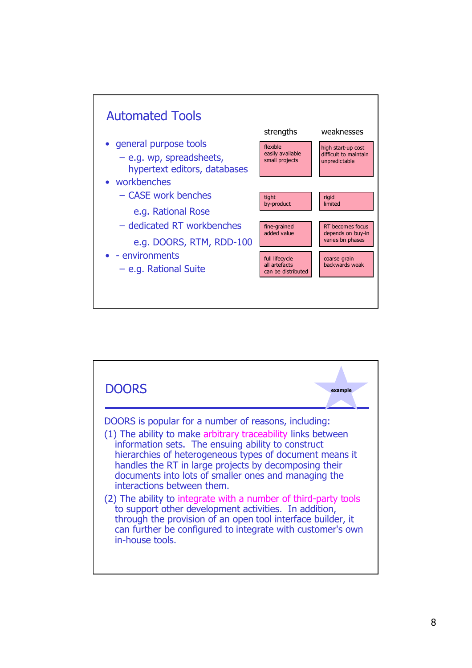

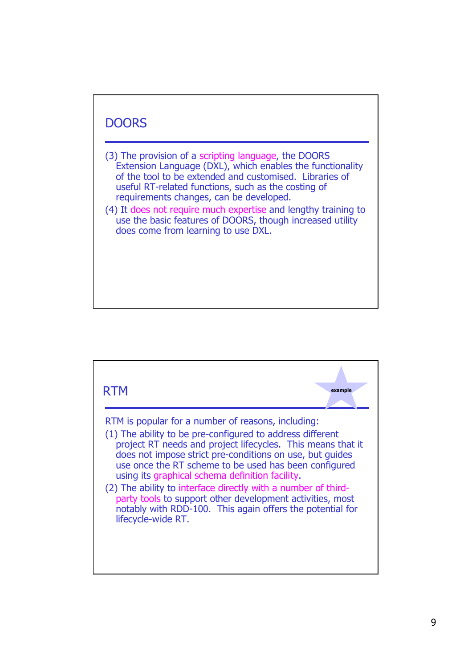

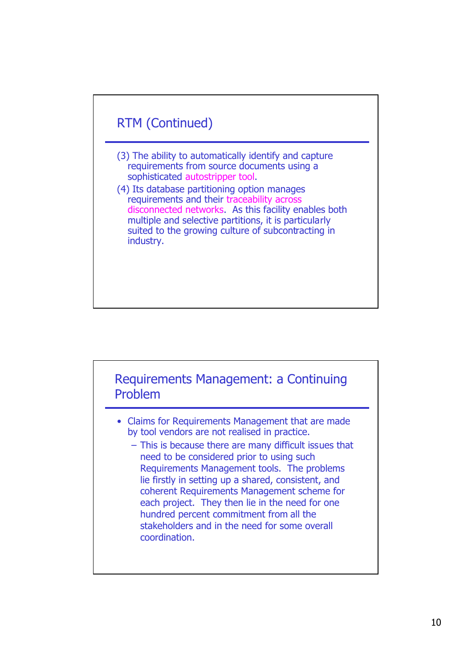



- Claims for Requirements Management that are made by tool vendors are not realised in practice.
	- This is because there are many difficult issues that need to be considered prior to using such Requirements Management tools. The problems lie firstly in setting up a shared, consistent, and coherent Requirements Management scheme for each project. They then lie in the need for one hundred percent commitment from all the stakeholders and in the need for some overall coordination.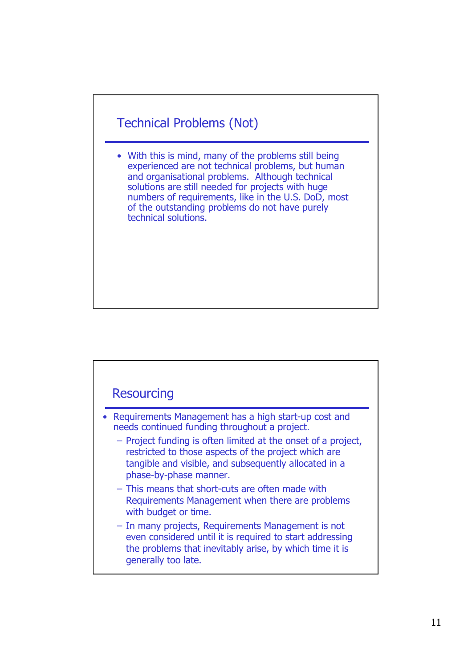## Technical Problems (Not)

• With this is mind, many of the problems still being experienced are not technical problems, but human and organisational problems. Although technical solutions are still needed for projects with huge numbers of requirements, like in the U.S. DoD, most of the outstanding problems do not have purely technical solutions.